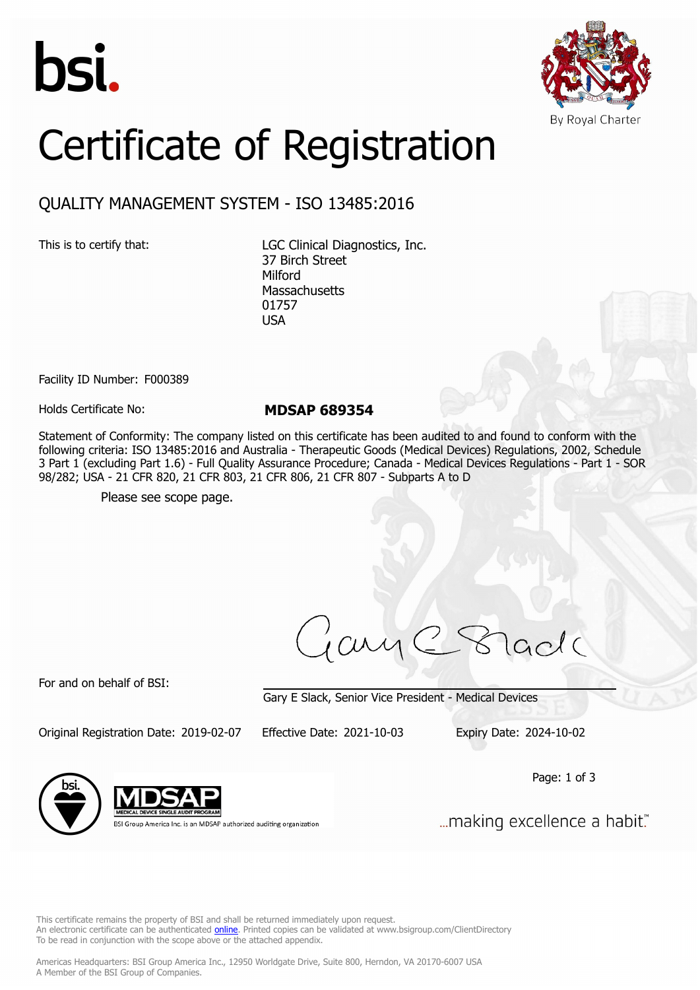



## Certificate of Registration

## QUALITY MANAGEMENT SYSTEM - ISO 13485:2016

This is to certify that: LGC Clinical Diagnostics, Inc. 37 Birch Street Milford **Massachusetts** 01757 USA

Facility ID Number: F000389

Holds Certificate No: **MDSAP 689354**

Statement of Conformity: The company listed on this certificate has been audited to and found to conform with the following criteria: ISO 13485:2016 and Australia - Therapeutic Goods (Medical Devices) Regulations, 2002, Schedule 3 Part 1 (excluding Part 1.6) - Full Quality Assurance Procedure; Canada - Medical Devices Regulations - Part 1 - SOR 98/282; USA - 21 CFR 820, 21 CFR 803, 21 CFR 806, 21 CFR 807 - Subparts A to D

Please see scope page.

ary lacla

For and on behalf of BSI:

Gary E Slack, Senior Vice President - Medical Devices

Original Registration Date: 2019-02-07 Effective Date: 2021-10-03 Expiry Date: 2024-10-02

Page: 1 of 3



BSI Group America Inc. is an MDSAP authorized auditing organization

... making excellence a habit."

This certificate remains the property of BSI and shall be returned immediately upon request. An electronic certificate can be authenticated *[online](https://pgplus.bsigroup.com/CertificateValidation/CertificateValidator.aspx?CertificateNumber=MDSAP+689354&ReIssueDate=03%2f10%2f2021&Template=inc)*. Printed copies can be validated at www.bsigroup.com/ClientDirectory To be read in conjunction with the scope above or the attached appendix.

Americas Headquarters: BSI Group America Inc., 12950 Worldgate Drive, Suite 800, Herndon, VA 20170-6007 USA A Member of the BSI Group of Companies.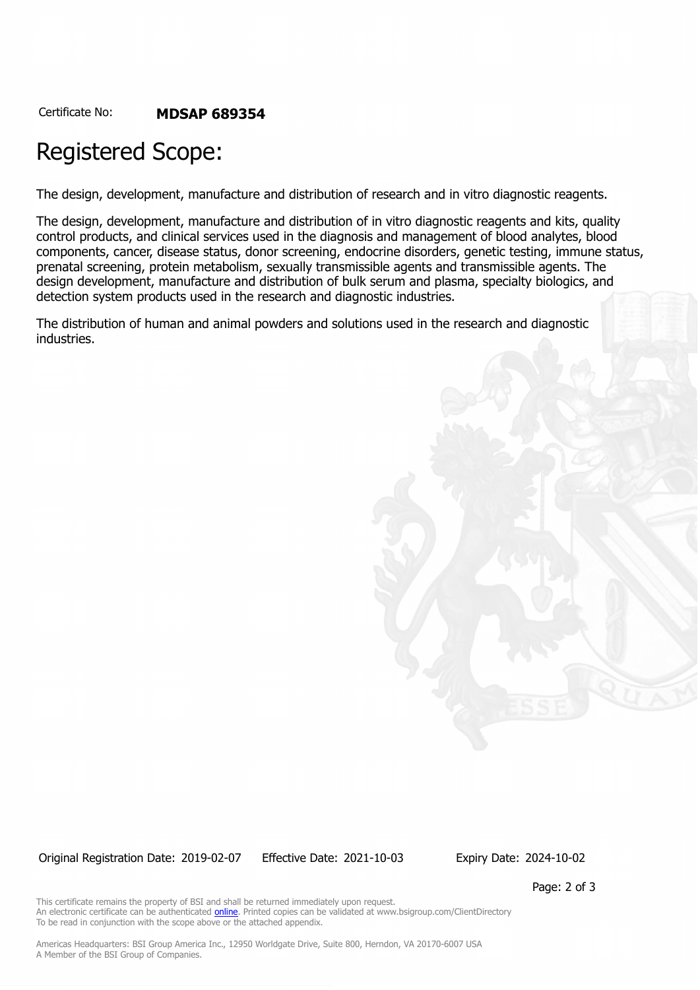Certificate No: **MDSAP 689354**

## Registered Scope:

The design, development, manufacture and distribution of research and in vitro diagnostic reagents.

The design, development, manufacture and distribution of in vitro diagnostic reagents and kits, quality control products, and clinical services used in the diagnosis and management of blood analytes, blood components, cancer, disease status, donor screening, endocrine disorders, genetic testing, immune status, prenatal screening, protein metabolism, sexually transmissible agents and transmissible agents. The design development, manufacture and distribution of bulk serum and plasma, specialty biologics, and detection system products used in the research and diagnostic industries.

The distribution of human and animal powders and solutions used in the research and diagnostic industries.

Original Registration Date: 2019-02-07 Effective Date: 2021-10-03 Expiry Date: 2024-10-02

Page: 2 of 3

This certificate remains the property of BSI and shall be returned immediately upon request. An electronic certificate can be authenticated **[online](https://pgplus.bsigroup.com/CertificateValidation/CertificateValidator.aspx?CertificateNumber=MDSAP+689354&ReIssueDate=03%2f10%2f2021&Template=inc)**. Printed copies can be validated at www.bsigroup.com/ClientDirectory To be read in conjunction with the scope above or the attached appendix.

Americas Headquarters: BSI Group America Inc., 12950 Worldgate Drive, Suite 800, Herndon, VA 20170-6007 USA A Member of the BSI Group of Companies.